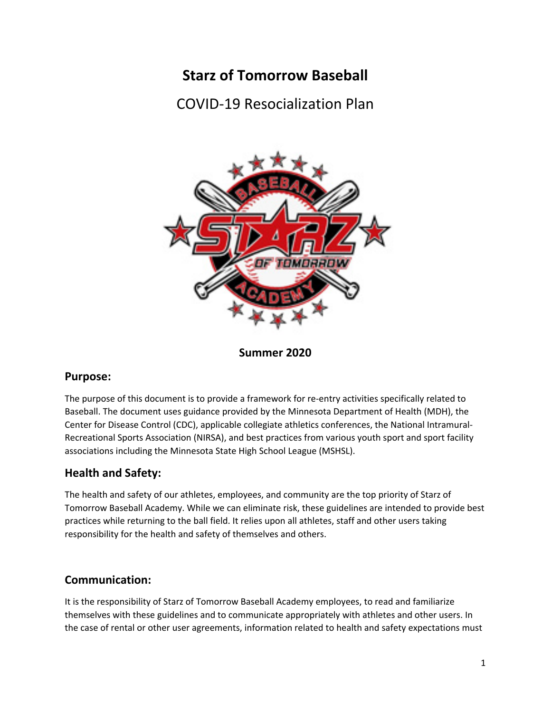# **Starz of Tomorrow Baseball**

**COVID-19 Resocialization Plan** 



Summer 2020

# **Purpose:**

The purpose of this document is to provide a framework for re-entry activities specifically related to Baseball. The document uses guidance provided by the Minnesota Department of Health (MDH), the Center for Disease Control (CDC), applicable collegiate athletics conferences, the National Intramural-Recreational Sports Association (NIRSA), and best practices from various youth sport and sport facility associations including the Minnesota State High School League (MSHSL).

# **Health and Safety:**

The health and safety of our athletes, employees, and community are the top priority of Starz of Tomorrow Baseball Academy. While we can eliminate risk, these guidelines are intended to provide best practices while returning to the ball field. It relies upon all athletes, staff and other users taking responsibility for the health and safety of themselves and others.

# **Communication:**

It is the responsibility of Starz of Tomorrow Baseball Academy employees, to read and familiarize themselves with these guidelines and to communicate appropriately with athletes and other users. In the case of rental or other user agreements, information related to health and safety expectations must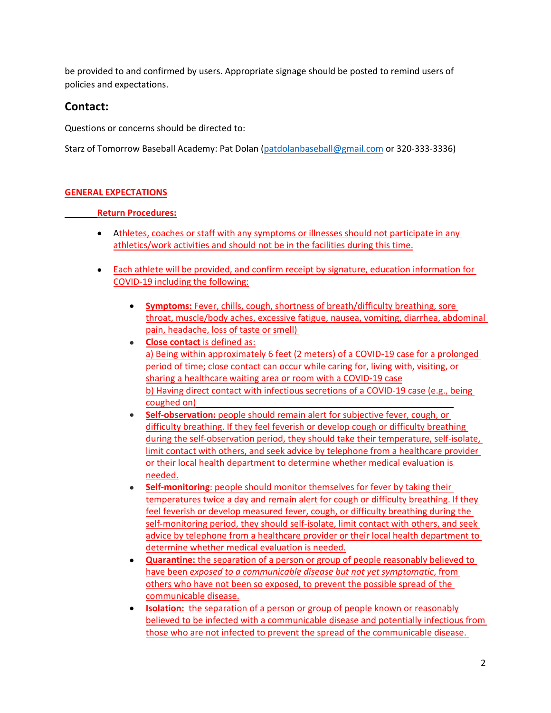be provided to and confirmed by users. Appropriate signage should be posted to remind users of policies and expectations.

# Contact:

Questions or concerns should be directed to:

Starz of Tomorrow Baseball Academy: Pat Dolan (patdolanbaseball@gmail.com or 320-333-3336)

## **GENERAL EXPECTATIONS**

### **Return Procedures:**

- Athletes, coaches or staff with any symptoms or illnesses should not participate in any athletics/work activities and should not be in the facilities during this time.
- Each athlete will be provided, and confirm receipt by signature, education information for COVID-19 including the following:
	- **Symptoms:** Fever, chills, cough, shortness of breath/difficulty breathing, sore  $\bullet$ throat, muscle/body aches, excessive fatigue, nausea, vomiting, diarrhea, abdominal pain, headache, loss of taste or smell)
	- **Close contact** is defined as:  $\bullet$ a) Being within approximately 6 feet (2 meters) of a COVID-19 case for a prolonged period of time; close contact can occur while caring for, living with, visiting, or sharing a healthcare waiting area or room with a COVID-19 case b) Having direct contact with infectious secretions of a COVID-19 case (e.g., being coughed on)
	- Self-observation: people should remain alert for subjective fever, cough, or difficulty breathing. If they feel feverish or develop cough or difficulty breathing during the self-observation period, they should take their temperature, self-isolate, limit contact with others, and seek advice by telephone from a healthcare provider or their local health department to determine whether medical evaluation is needed.
	- Self-monitoring: people should monitor themselves for fever by taking their temperatures twice a day and remain alert for cough or difficulty breathing. If they feel feverish or develop measured fever, cough, or difficulty breathing during the self-monitoring period, they should self-isolate, limit contact with others, and seek advice by telephone from a healthcare provider or their local health department to determine whether medical evaluation is needed.
	- **Quarantine:** the separation of a person or group of people reasonably believed to  $\bullet$ have been exposed to a communicable disease but not yet symptomatic, from others who have not been so exposed, to prevent the possible spread of the communicable disease.
	- **Isolation:** the separation of a person or group of people known or reasonably believed to be infected with a communicable disease and potentially infectious from those who are not infected to prevent the spread of the communicable disease.